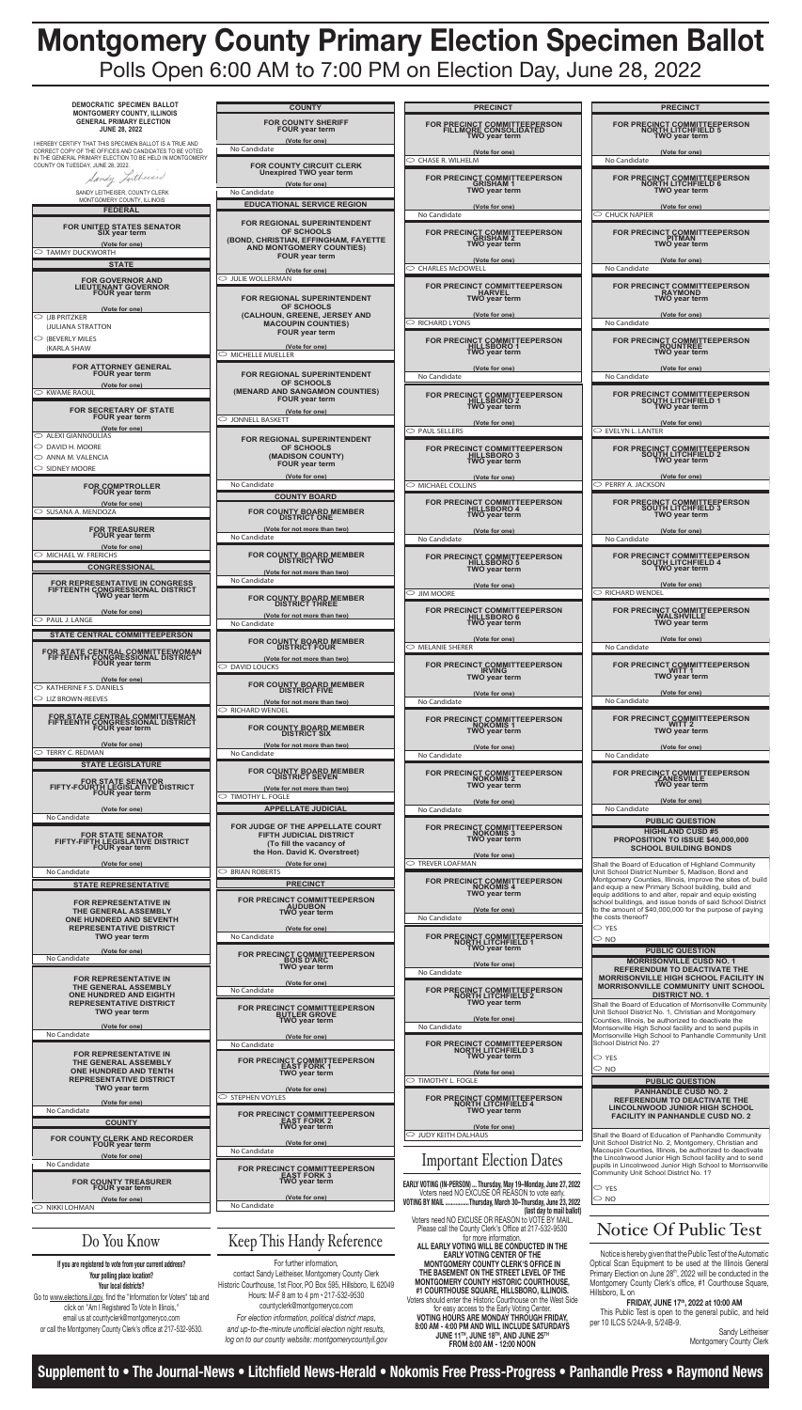**Supplement to • The Journal-News • Litchfield News-Herald • Nokomis Free Press-Progress • Panhandle Press • Raymond News**

# **Montgomery County Primary Election Specimen Ballot** Polls Open 6:00 AM to 7:00 PM on Election Day, June 28, 2022

| <b>COUNTY</b>                                                                                        | <b>PRECINCT</b>                                                               |
|------------------------------------------------------------------------------------------------------|-------------------------------------------------------------------------------|
| <b>FOR COUNTY SHERIFF</b><br><b>FOUR year term</b>                                                   | FOR PRECINCT COMMITTEEPERSON<br>FILLMORE CONSOLIDATED<br><b>TWO year term</b> |
| (Vote for one)<br>No Candidate                                                                       | (Vote for one)                                                                |
|                                                                                                      | $\circlearrowright$ chase R. Wilhelm                                          |
| <b>FOR COUNTY CIRCUIT CLERK</b><br><b>Unexpired TWO year term</b><br>(Vote for one)                  | FOR PRECINCT COMMITTEEPERSON<br><b>GRISHAM1</b>                               |
| No Candidate                                                                                         | <b>TWO year term</b>                                                          |
| <b>EDUCATIONAL SERVICE REGION</b>                                                                    | (Vote for one)                                                                |
| <b>FOR REGIONAL SUPERINTENDENT</b><br><b>OF SCHOOLS</b>                                              | No Candidate<br><b>FOR PRECINCT COMMITTEEPERSON</b>                           |
| (BOND, CHRISTIAN, EFFINGHAM, FAYETTE<br><b>AND MONTGOMERY COUNTIES)</b><br><b>FOUR year term</b>     | <b>GRISHAM 2</b><br><b>TWO year term</b><br>(Vote for one)                    |
| (Vote for one)                                                                                       | $\circ$ CHARLES McDOWELL                                                      |
| <b>JULIE WOLLERMAN</b>                                                                               |                                                                               |
| <b>FOR REGIONAL SUPERINTENDENT</b><br><b>OF SCHOOLS</b>                                              | <b>FOR PRECINCT COMMITTEEPERSON</b><br><b>HARVEL</b><br><b>TWO year term</b>  |
| (CALHOUN, GREENE, JERSEY AND                                                                         | (Vote for one)                                                                |
| <b>MACOUPIN COUNTIES)</b><br><b>FOUR year term</b>                                                   | $\circ$ Richard Lyons                                                         |
| (Vote for one)                                                                                       | <b>FOR PRECINCT COMMITTEEPERSON</b><br>HILLSBORO 1                            |
| <b>MICHELLE MUELLER</b>                                                                              | <b>TWO year term</b>                                                          |
| FOR REGIONAL SUPERINTENDENT                                                                          | (Vote for one)                                                                |
| <b>OF SCHOOLS</b>                                                                                    | No Candidate                                                                  |
| (MENARD AND SANGAMON COUNTIES)<br><b>FOUR year term</b><br>(Vote for one)                            | <b>FOR PRECINCT COMMITTEEPERSON</b><br>HILLSBÖRÖ 2<br>TWO year term           |
| <b>JONNELL BASKETT</b>                                                                               | (Vote for one)                                                                |
|                                                                                                      | $\circ$ paul sellers                                                          |
| <b>FOR REGIONAL SUPERINTENDENT</b><br><b>OF SCHOOLS</b><br>(MADISON COUNTY)<br><b>FOUR year term</b> | FOR PRECINCT COMMITTEEPERSON<br>HILLSBORO 3<br><b>TWO year term</b>           |
| (Vote for one)<br>No Candidate                                                                       | (Vote for one)<br>MICHAEL COLLINS                                             |
| <b>COUNTY BOARD</b>                                                                                  |                                                                               |
| <b>FOR COUNTY BOARD MEMBER</b><br><b>DISTRICT ONE</b>                                                | FOR PRECINCT COMMITTEEPERSON<br><b>TWO year term</b>                          |
| (Vote for not more than two)                                                                         | (Vote for one)                                                                |
| No Candidate                                                                                         | No Candidate                                                                  |
| <b>FOR COUNTY BOARD MEMBER</b><br><b>DISTRICT TWO</b>                                                | FOR PRECINCT COMMITTEEPERSON<br>HILLSBORO 5<br><b>TWO year term</b>           |
| (Vote for not more than two)<br>No Candidate                                                         |                                                                               |
|                                                                                                      | (Vote for one)<br>$\circlearrowright$ jim moore                               |
| <b>FOR COUNTY BOARD MEMBER</b><br><b>DISTRICT THREE</b>                                              |                                                                               |
| (Vote for not more than two)<br>No Candidate                                                         | FOR PRECINCT COMMITTEEPERSON<br>HILLSBORO 6<br><b>TWO year term</b>           |
| <b>FOR COUNTY BOARD MEMBER</b><br><b>DISTRICT FOUR</b>                                               | (Vote for one)<br>$\circlearrowright$ melanie sherer                          |
| (Vote for not more than two)                                                                         |                                                                               |
| <b>DAVID LOUCKS</b>                                                                                  | FOR PRECINCT COMMITTEEPERSON<br><b>IRVING</b><br><b>TWO year term</b>         |
| FOR COUNTY BOARD MEMBER<br>DISTRICT FIVE                                                             | (Vote for one)                                                                |
| (Vote for not more than two)<br><b>RICHARD WENDEL</b>                                                | No Candidate                                                                  |
| FOR COUNTY BOARD MEMBER<br>DISTRICT SIX                                                              | FOR PRECINCT COMMITTEEPERSON<br><b>NOKOMIS1</b><br><b>TWO year term</b>       |
| (Vote for not more than two)                                                                         | (Vote for one)                                                                |
| No Candidate                                                                                         | No Candidate                                                                  |
| FOR COUNTY BOARD MEMBER<br>DISTRICT SEVEN                                                            | FOR PRECINCT COMMITTEEPERSON<br><b>NOKOMIS 2</b><br><b>TWO year term</b>      |

| <b>PRECINCT</b>                                                       | <b>PRECINCT</b>                                                                          |
|-----------------------------------------------------------------------|------------------------------------------------------------------------------------------|
| <b>CT COMMITTEEPERSON</b><br><b>RE CONSOLIDATED</b><br>NO year term   | <b>FOR PRECINCT COMMITTEEPERSON</b><br><b>NORTH LITCHFIELD 5</b><br><b>TWO year term</b> |
| (Vote for one)<br>VI                                                  | (Vote for one)<br>No Candidate                                                           |
|                                                                       |                                                                                          |
| <b>CT COMMITTEEPERSON</b><br>GRISHAM 1<br>NO year term                | <b>FOR PRECINCT COMMITTEEPERSON</b><br><b>NORTH LITCHFIELD 6</b><br><b>TWO year term</b> |
| (Vote for one)                                                        | (Vote for one)<br>$\circlearrowright$ CHUCK NAPIER                                       |
|                                                                       |                                                                                          |
| CT COMMITTEEPERSON<br>GRISHAM 2<br>NO year term                       | FOR PRECINCT COMMITTEEPERSON<br><b>PITMAN</b><br><b>TWO year term</b>                    |
| (Vote for one)<br>/ELL                                                | (Vote for one)<br>No Candidate                                                           |
|                                                                       |                                                                                          |
| <b>CT COMMITTEEPERSON</b><br><b>HARVEL</b><br>NO year term            | <b>FOR PRECINCT COMMITTEEPERSON</b><br><b>RAYMOND</b><br><b>TWO year term</b>            |
| (Vote for one)                                                        | (Vote for one)<br>No Candidate                                                           |
|                                                                       |                                                                                          |
| <b>CT COMMITTEEPERSON</b><br><b>ILLSBORO 1</b><br><b>NO year term</b> | <b>FOR PRECINCT COMMITTEEPERSON</b><br><b>ROUNTREE</b><br><b>TWO year term</b>           |
| (Vote for one)                                                        | (Vote for one)<br>No Candidate                                                           |
|                                                                       |                                                                                          |
| <b>CT COMMITTEEPERSON</b><br><b>ILLSBORO 2</b><br><b>NO year term</b> | <b>FOR PRECINCT COMMITTEEPERSON</b><br><b>SOUTH LITCHFIELD 1</b><br><b>TWO year term</b> |
| (Vote for one)                                                        | (Vote for one)                                                                           |
|                                                                       | $\circlearrowright$ evelyn L. Lanter                                                     |
| CT COMMITTEEPERSON<br>ILLSBORO 3<br>NO year term                      | FOR PRECINCT COMMITTEEPERSON<br><b>SOUTH LITCHFIELD 2</b><br><b>TWO year term</b>        |
| (Vote for one)<br>S                                                   | (Vote for one)<br>$\circ$ PERRY A. JACKSON                                               |
|                                                                       |                                                                                          |
| <b>CT COMMITTEEPERSON</b><br><b>ILLSBORO 4</b><br><b>NO</b> year term | <b>FOR PRECINCT COMMITTEEPERSON</b><br><b>SOUTH LITCHFIELD 3</b><br><b>TWO year term</b> |
| (Vote for one)                                                        | (Vote for one)<br>No Candidate                                                           |
|                                                                       |                                                                                          |
| <b>CT COMMITTEEPERSON</b><br><b>ILLSBORO 5</b><br>NO year term        | <b>FOR PRECINCT COMMITTEEPERSON</b><br><b>SOUTH LITCHFIELD 4</b><br><b>TWO year term</b> |
| (Vote for one)                                                        | (Vote for one)                                                                           |
|                                                                       | $\circ$ Richard wendel                                                                   |
| CT COMMITTEEPERSON<br>ILLSBORO 6<br>NO year term                      | <b>FOR PRECINCT COMMITTEEPERSON</b><br><b>WALSHVILLE</b><br><b>TWO year term</b>         |
| (Vote for one)                                                        | (Vote for one)                                                                           |
|                                                                       | No Candidate                                                                             |
| <b>CT COMMITTEEPERSON</b><br><b>IRVING</b><br>NO year term            | <b>FOR PRECINCT COMMITTEEPERSON</b><br>WITT 1<br><b>TWO year term</b>                    |
| (Vote for one)                                                        | (Vote for one)                                                                           |
|                                                                       | No Candidate                                                                             |
| <b>CT COMMITTEEPERSON</b><br>NOKOMIS 1<br><b>NO</b> year term         | FOR PRECINCT COMMITTEEPERSON<br>WITT 2<br><b>TWO year term</b>                           |
| (Vote for one)                                                        | (Vote for one)                                                                           |
|                                                                       | No Candidate                                                                             |
| <b>CT COMMITTEEPERSON</b><br><b>NOKOMIS 2</b><br>NO year term         | <b>FOR PRECINCT COMMITTEEPERSON</b><br><b>ZANESVILLE</b><br><b>TWO year term</b>         |
|                                                                       |                                                                                          |

| DEMOCRATIC SPECIMEN BALLOT<br><b>MONTGOMERY COUNTY, ILLINOIS</b><br><b>GENERAL PRIMARY ELECTION</b>                                                                            | <b>COUNTY</b>                                                                                                        |
|--------------------------------------------------------------------------------------------------------------------------------------------------------------------------------|----------------------------------------------------------------------------------------------------------------------|
| <b>JUNE 28, 2022</b>                                                                                                                                                           | <b>FOR COUNTY SHERIFF</b><br><b>FOUR year term</b>                                                                   |
| I HEREBY CERTIFY THAT THIS SPECIMEN BALLOT IS A TRUE AND<br>CORRECT COPY OF THE OFFICES AND CANDIDATES TO BE VOTED<br>IN THE GENERAL PRIMARY ELECTION TO BE HELD IN MONTGOMERY | (Vote for one)<br>No Candidate                                                                                       |
| COUNTY ON TUESDAY, JUNE 28, 2022.<br>Sandy Leithersed                                                                                                                          | <b>FOR COUNTY CIRCUIT CLERK</b><br><b>Unexpired TWO year term</b><br>(Vote for one)                                  |
| SANDY LEITHEISER, COUNTY CLERK<br>MONTGOMERY COUNTY, ILLINOIS                                                                                                                  | No Candidate<br><b>EDUCATIONAL SERVICE REGION</b>                                                                    |
| <b>FEDERAL</b>                                                                                                                                                                 | <b>FOR REGIONAL SUPERINTENDENT</b>                                                                                   |
| <b>FOR UNITED STATES SENATOR</b><br>SIX year term<br>(Vote for one)<br>$\supset$ Tammy Duckworth                                                                               | <b>OF SCHOOLS</b><br>(BOND, CHRISTIAN, EFFINGHAM, FAYETT<br><b>AND MONTGOMERY COUNTIES)</b><br><b>FOUR year term</b> |
| STATE                                                                                                                                                                          | (Vote for one)<br>$\circlearrowright$ julie wollerman                                                                |
| <b>FOR GOVERNOR AND</b><br><b>LIEUTENANT GOVERNOR</b><br><b>FOUR year term</b>                                                                                                 |                                                                                                                      |
| (Vote for one)                                                                                                                                                                 | <b>FOR REGIONAL SUPERINTENDENT</b><br>OF SCHOOLS<br>(CALHOUN, GREENE, JERSEY AND                                     |
| $\circ$ (jb pritzker<br>(JULIANA STRATTON                                                                                                                                      | <b>MACOUPIN COUNTIES)</b><br><b>FOUR year term</b>                                                                   |
| $\circ$ (Beverly miles<br>(KARLA SHAW                                                                                                                                          | (Vote for one)<br>$\circlearrowright$ michelle mueller                                                               |
| <b>FOR ATTORNEY GENERAL</b><br><b>FOUR year term</b>                                                                                                                           | <b>FOR REGIONAL SUPERINTENDENT</b>                                                                                   |
| (Vote for one)<br>$\circlearrowright$ kwame raoul                                                                                                                              | <b>OF SCHOOLS</b><br>(MENARD AND SANGAMON COUNTIES)                                                                  |
| <b>FOR SECRETARY OF STATE</b><br><b>FOUR year term</b>                                                                                                                         | <b>FOUR year term</b><br>(Vote for one)<br>$\circlearrowright$ jonnell baskett                                       |
| (Vote for one)<br>$\circlearrowright$ alexi giannoulias                                                                                                                        | FOR REGIONAL SUPERINTENDENT                                                                                          |
| $\circlearrowright$ DAVID H. MOORE<br>$\circ$ ANNA M. VALENCIA<br>$\circ$ sidney moore                                                                                         | <b>OF SCHOOLS</b><br>(MADISON COUNTY)<br><b>FOUR year term</b>                                                       |
| <b>FOR COMPTROLLER</b><br><b>FOUR year term</b>                                                                                                                                | (Vote for one)<br>No Candidate                                                                                       |
| (Vote for one)<br>$\circ$ SUSANA A. MENDOZA                                                                                                                                    | <b>COUNTY BOARD</b><br><b>FOR COUNTY BOARD MEMBER</b>                                                                |
| <b>FOR TREASURER</b><br><b>FOUR year term</b>                                                                                                                                  | <b>DISTRICT ONE</b><br>(Vote for not more than two)                                                                  |
| (Vote for one)<br>$\circ$ Michael W. Frerichs                                                                                                                                  | No Candidate                                                                                                         |
| <b>CONGRESSIONAL</b>                                                                                                                                                           | FOR COUNTY BOARD MEMBER<br>DISTRICT TWO<br>(Vote for not more than two)                                              |
| <b>FOR REPRESENTATIVE IN CONGRESS<br/>FIFTEENTH CONGRESSIONAL DISTRICT</b>                                                                                                     | No Candidate                                                                                                         |
| TWO year term<br>(Vote for one)                                                                                                                                                | FOR COUNTY BOARD MEMBER<br><b>DISTRICT THREE</b>                                                                     |
| $\circ$ PAUL J. LANGE                                                                                                                                                          | (Vote for not more than two)<br>No Candidate                                                                         |
| STATE CENTRAL COMMITTEEPERSON                                                                                                                                                  | <b>FOR COUNTY BOARD MEMBER</b><br><b>DISTRICT FOUR</b>                                                               |
| FOR STATE CENTRAL COMMITTEEWOMAN<br>FIFTEENTH CONGRESSIONAL DISTRICT<br><b>FOUR year term</b><br>(Vote for one)                                                                | (Vote for not more than two)<br>$\circlearrowright$ david loucks                                                     |
| $\circlearrowright$ KATHERINE F.S. DANIELS<br>$\circlearrowright$ Liz Brown-Reeves                                                                                             | FOR COUNTY BOARD MEMBER<br>DISTRICT FIVE                                                                             |
|                                                                                                                                                                                | (Vote for not more than two)<br>$\circ$ Richard wendel                                                               |
| FOR STATE CENTRAL COMMITTEEMAN<br>FIFTEENTH CONGRESSIONAL DISTRICT<br>FOUR year term                                                                                           | FOR COUNTY BOARD MEMBER<br>DISTRICT SIX                                                                              |
| (Vote for one)<br>$\circlearrowright$ TERRY C. REDMAN                                                                                                                          | (Vote for not more than two)<br>No Candidate                                                                         |
| <b>STATE LEGISLATURE</b>                                                                                                                                                       | FOR COUNTY BOARD MEMBER<br>DISTRICT SEVEN                                                                            |
| FOR STATE SENATOR<br>FIFTY-FOURTH LEGISLATIVE DISTRICT<br><b>FOUR year term</b>                                                                                                | (Vote for not more than two)<br>$\circlearrowright$ timothy L. Fogle                                                 |
| (Vote for one)                                                                                                                                                                 | <b>APPELLATE JUDICIAL</b>                                                                                            |
| No Candidate                                                                                                                                                                   | FOR JUDGE OF THE APPELLATE COURT<br><b>FIFTH JUDICIAL DISTRICT</b>                                                   |
| FOR STATE SENATOR<br>FIFTY-FIFTH LEGISLATIVE DISTRICT<br>FOUR year term                                                                                                        | (To fill the vacancy of<br>the Hon. David K. Overstreet)                                                             |
| (Vote for one)<br>No Candidate                                                                                                                                                 | (Vote for one)<br>$\circ$ BRIAN ROBERTS                                                                              |
| <b>STATE REPRESENTATIVE</b>                                                                                                                                                    | <b>PRECINCT</b>                                                                                                      |
| <b>FOR REPRESENTATIVE IN</b><br>THE GENERAL ASSEMBLY                                                                                                                           | FOR PRECINCT COMMITTEEPERSON<br><b>AUDUBON</b><br><b>TWO year term</b>                                               |
| <b>ONE HUNDRED AND SEVENTH</b><br><b>REPRESENTATIVE DISTRICT</b>                                                                                                               | (Vote for one)                                                                                                       |
| <b>TWO year term</b><br>(Vote for one)                                                                                                                                         | No Candidate                                                                                                         |
| No Candidate                                                                                                                                                                   | FOR PRECINCT COMMITTEEPERSON<br><b>BOIS D'ARC</b><br>TWO year term                                                   |
| <b>FOR REPRESENTATIVE IN</b><br>THE GENERAL ASSEMBLY<br><b>ONE HUNDRED AND EIGHTH</b>                                                                                          | (Vote for one)<br>No Candidate                                                                                       |
| <b>REPRESENTATIVE DISTRICT</b><br><b>TWO year term</b>                                                                                                                         | FOR PRECINCT COMMITTEEPERSON<br><b>BUTLER GROVE</b>                                                                  |
| (Vote for one)<br>No Candidate                                                                                                                                                 | <b>TWO year term</b>                                                                                                 |
| <b>FOR REPRESENTATIVE IN</b>                                                                                                                                                   | (Vote for one)<br>No Candidate                                                                                       |
| THE GENERAL ASSEMBLY<br><b>ONE HUNDRED AND TENTH</b><br><b>REPRESENTATIVE DISTRICT</b><br><b>TWO year term</b>                                                                 | FOR PRECINCT COMMITTEEPERSON<br><b>EAST FORK 1</b><br><b>TWO year term</b>                                           |
| (Vote for one)                                                                                                                                                                 | (Vote for one)<br>$\circ$ STEPHEN VOYLES                                                                             |
| No Candidate<br><b>COUNTY</b>                                                                                                                                                  | FOR PRECINCT COMMITTEEPERSON<br><b>EAST FORK 2</b><br><b>TWO year term</b>                                           |
| <b>FOR COUNTY CLERK AND RECORDER</b><br><b>FOUR year term</b>                                                                                                                  | (Vote for one)                                                                                                       |
| (Vote for one)<br>No Candidate                                                                                                                                                 | No Candidate                                                                                                         |
| <b>FOR COUNTY TREASURER</b>                                                                                                                                                    | FOR PRECINCT COMMITTEEPERSON<br>EAST FORK 3<br><b>TWO year term</b>                                                  |
| <b>FOUR year term</b><br>(Vote for one)                                                                                                                                        | (Vote for one)                                                                                                       |
| <b>NIKKI LOHMAN</b>                                                                                                                                                            | No Candidate                                                                                                         |
| Do You Know                                                                                                                                                                    |                                                                                                                      |
|                                                                                                                                                                                | Keep This Handy Reference                                                                                            |
| If you are registered to vote from your current address?<br>Vous nolling plane location?                                                                                       | For further information,<br>contact Sandy Leitheiser Montgomery County Clerk                                         |

## **Notice Of Public Test**

tice is hereby given that the Public Test of the Automatic al Scan Equipment to be used at the Illinois General ry Election on June 28<sup>th</sup>, 2022 will be conducted in the jomery County Clerk's office, #1 Courthouse Square, oro, IL on

| FOR PRECINCT COMMITTEEPERSON<br><b>ZANESVILLE</b><br><b>TWO year term</b>                                                                                                                                                                                                                                                                                                                                                                          |  |  |
|----------------------------------------------------------------------------------------------------------------------------------------------------------------------------------------------------------------------------------------------------------------------------------------------------------------------------------------------------------------------------------------------------------------------------------------------------|--|--|
| (Vote for one)<br>No Candidate                                                                                                                                                                                                                                                                                                                                                                                                                     |  |  |
| <b>PUBLIC QUESTION</b>                                                                                                                                                                                                                                                                                                                                                                                                                             |  |  |
| <b>HIGHLAND CUSD #5</b><br><b>PROPOSITION TO ISSUE \$40,000,000</b><br><b>SCHOOL BUILDING BONDS</b>                                                                                                                                                                                                                                                                                                                                                |  |  |
| Shall the Board of Education of Highland Community<br>Unit School District Number 5, Madison, Bond and<br>Montgomery Counties, Illinois, improve the sites of, build<br>and equip a new Primary School building, build and<br>equip additions to and alter, repair and equip existing<br>school buildings, and issue bonds of said School District<br>to the amount of \$40,000,000 for the purpose of paying<br>the costs thereof?<br>$\circ$ YES |  |  |
| $\circ$ No                                                                                                                                                                                                                                                                                                                                                                                                                                         |  |  |
| <b>PUBLIC QUESTION</b>                                                                                                                                                                                                                                                                                                                                                                                                                             |  |  |
| <b>MORRISONVILLE CUSD NO. 1</b><br><b>REFERENDUM TO DEACTIVATE THE</b><br><b>MORRISONVILLE HIGH SCHOOL FACILITY IN</b><br><b>MORRISONVILLE COMMUNITY UNIT SCHOOL</b><br><b>DISTRICT NO. 1</b>                                                                                                                                                                                                                                                      |  |  |
| Shall the Board of Education of Morrisonville Community<br>Unit School District No. 1, Christian and Montgomery<br>Counties, Illinois, be authorized to deactivate the<br>Morrisonville High School facility and to send pupils in<br>Morrisonville High School to Panhandle Community Unit<br>School District No. 2?                                                                                                                              |  |  |
| $\circ$ YES                                                                                                                                                                                                                                                                                                                                                                                                                                        |  |  |
| $\circ$ No                                                                                                                                                                                                                                                                                                                                                                                                                                         |  |  |
| <b>PUBLIC QUESTION</b>                                                                                                                                                                                                                                                                                                                                                                                                                             |  |  |
| <b>PANHANDLE CUSD NO. 2</b><br><b>REFERENDUM TO DEACTIVATE THE</b><br>LINCOLNWOOD JUNIOR HIGH SCHOOL<br><b>FACILITY IN PANHANDLE CUSD NO. 2</b>                                                                                                                                                                                                                                                                                                    |  |  |

the Board of Education of Panhandle Community School District No. 2, Montgomery, Christian and vupin Counties, Illinois, be authorized to deactivate incolnwood Junior High School facility and to send s in Lincolnwood Junior High School to Morrisonville munity Unit School District No. 1?

| <b>TWO year term</b>                                                                                       |                                             |
|------------------------------------------------------------------------------------------------------------|---------------------------------------------|
| (Vote for one)<br>No Candidate                                                                             |                                             |
|                                                                                                            | No (                                        |
| <b>FOR PRECINCT COMMITTEEPERSON</b><br>NOKOMIS 3<br>TWO year term                                          | P                                           |
| (Vote for one)<br>$\circ$ TREVER LOAFMAN                                                                   | Shall the                                   |
|                                                                                                            | Unit Sch                                    |
| FOR PRECINCT COMMITTEEPERSON<br><b>NOKOMIS4</b><br><b>TWO year term</b>                                    | Montgon<br>and equi<br>equip ad<br>school b |
| (Vote for one)                                                                                             | to the an                                   |
| No Candidate                                                                                               | the costs                                   |
| <b>FOR PRECINCT COMMITTEEPERSON</b><br><b>NORTH LITCHFIELD 1</b><br><b>TWO year term</b>                   | $\circ$ yes<br>$\circ$ NO                   |
| (Vote for one)                                                                                             |                                             |
| No Candidate                                                                                               | R<br><b>MORF</b>                            |
| <b>FOR PRECINCT COMMITTEEPERSON</b><br><b>NORTH LITCHFIELD 2</b><br>TWO year term                          | <b>MORF</b><br>Shall the                    |
| (Vote for one)                                                                                             | Unit Sch<br>Counties                        |
| No Candidate                                                                                               | Morrisor                                    |
| FOR PRECINCT COMMITTEEPERSON<br>NORTH_LITCHFIELD 3<br>TWO year term                                        | Morrisor<br>School D                        |
|                                                                                                            | $\circ$ yes<br>$\sim$ NO                    |
| (Vote for one)<br><b>TIMOTHY L. FOGLE</b>                                                                  |                                             |
|                                                                                                            |                                             |
| FOR PRECINCT COMMITTEEPERSON<br>NORTH_LITCHFIELD 4<br>TWO year term                                        | R<br>LIN<br>F/                              |
| (Vote for one)                                                                                             |                                             |
| <b>JUDY KEITH DALHAUS</b>                                                                                  | Shall the<br>Unit Sch                       |
| <b>Important Election Dates</b>                                                                            | Macoupi<br>the Linco<br>pupils in<br>Commur |
| EARLY VOTING (IN-PERSON)  Thursday, May 19-Monday, June 27, 2022                                           |                                             |
| Voters need NO EXCUSE OR REASON to vote early.                                                             | $\circ$ yes<br>$\circ$ NO                   |
| VOTING BY MAIL Thursday, March 30-Thursday, June 23, 2022<br>(last day to mail ballot)                     |                                             |
| Voters need NO EXCUSE OR REASON to VOTE BY MAIL.                                                           |                                             |
| Please call the County Clerk's Office at 217-532-9530                                                      |                                             |
| for more information.<br>ALL EARLY VOTING WILL BE CONDUCTED IN THE                                         | Notice                                      |
| <b>EARLY VOTING CENTER OF THE</b><br><b>MONTGOMERY COUNTY CLERK'S OFFICE IN</b>                            | Optical S                                   |
| THE BASEMENT ON THE STREET LEVEL OF THE                                                                    | Primary E                                   |
| <b>MONTGOMERY COUNTY HISTORIC COURTHOUSE,</b>                                                              | Montgom                                     |
| #1 COURTHOUSE SQUARE, HILLSBORO, ILLINOIS.<br>Voters should enter the Historic Courthouse on the West Side | Hillsboro,                                  |
| for easy access to the Early Voting Center.                                                                | This P                                      |
| <b>VOTING HOURS ARE MONDAY THROUGH FRIDAY,</b>                                                             | per 10 ILC                                  |
| 8:00 AM - 4:00 PM AND WILL INCLUDE SATURDAYS                                                               |                                             |
|                                                                                                            |                                             |
| JUNE 11TH, JUNE 18TH, AND JUNE 25TH<br>FROM 8:00 AM - 12:00 NOON                                           |                                             |

### **FRIDAY, JUNE 17th, 2022 at 10:00 AM**

is Public Test is open to the general public, and held ILCS 5/24A-9, 5/24B-9.

Sandy Leitheiser Montgomery County Clerk

**Your polling place location? Your local districts?** Go to www.elections.il.gov, find the "Information for Voters" tab and click on "Am I Registered To Vote In Illinois," email us at countyclerk@montgomeryco.com or call the Montgomery County Clerk's office at 217-532-9530.

# **RSON RSON RSON** rence act Sandy Leitheiser, Montgomery County Clerk Historic Courthouse, 1st Floor, PO Box 595, Hillsboro, IL 62 Hours: M-F 8 am to 4 pm • 217-532-9530 countyclerk@montgomeryco.com *For election information, political district maps, and up-to-the-minute unofficial election night results,*  log on to our county website: montgomerycountyil.go